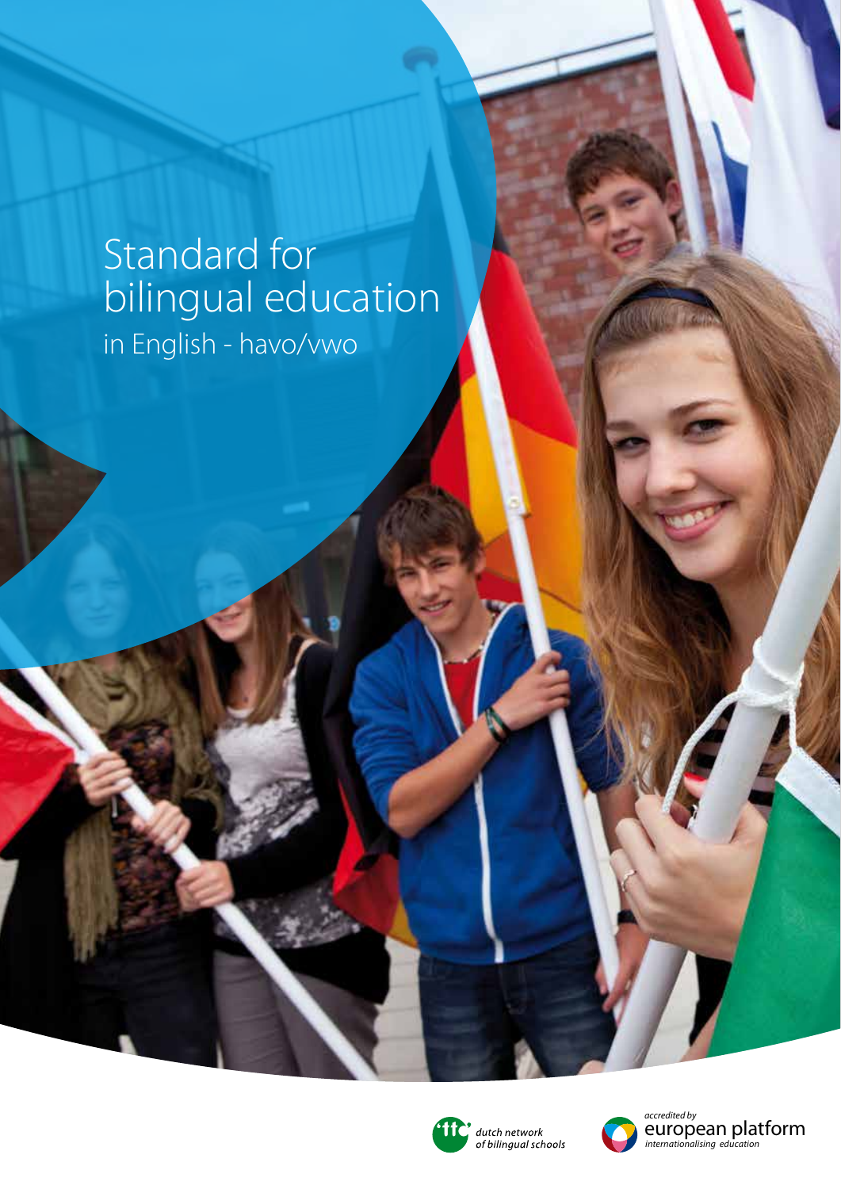## Standard for bilingual education in English - havo/vwo



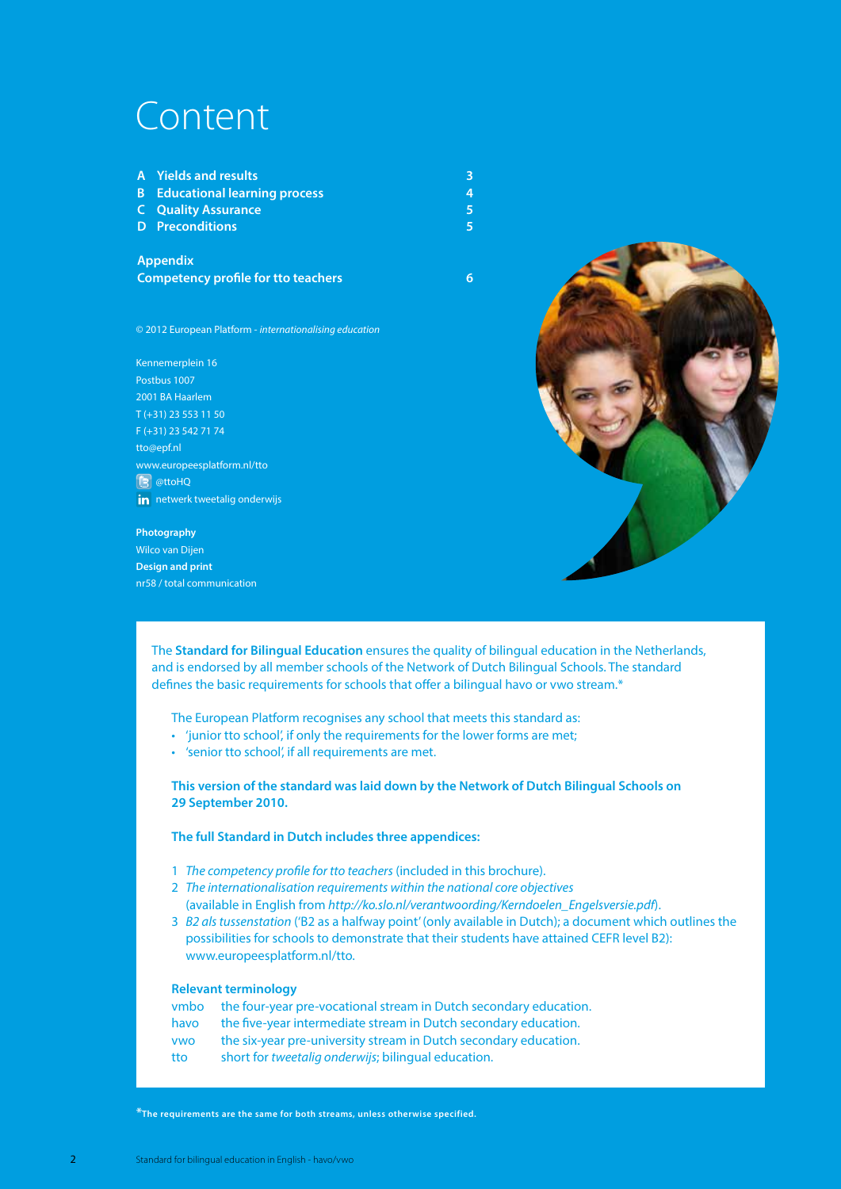### Content

| A Yields and results                  | 3 |
|---------------------------------------|---|
| <b>B</b> Educational learning process |   |
| <b>C</b> Quality Assurance            |   |
| <b>D</b> Preconditions                |   |

**Appendix Competency profile for tto teachers 6**

© 2012 European Platform - *internationalising education*

Kennemerplein 16 Postbus 1007 2001 BA Haarlem T (+31) 23 553 11 50 F (+31) 23 542 71 74 tto@epf.nl www.europeesplatform.nl/tto **B** @ttoHQ in netwerk tweetalig onderwijs

#### **Photography**

Wilco van Dijen **Design and print** nr58 / total communication



The **Standard for Bilingual Education** ensures the quality of bilingual education in the Netherlands, and is endorsed by all member schools of the Network of Dutch Bilingual Schools. The standard defines the basic requirements for schools that offer a bilingual havo or vwo stream.\*

The European Platform recognises any school that meets this standard as:

- 'junior tto school', if only the requirements for the lower forms are met;
- 'senior tto school', if all requirements are met.

**This version of the standard was laid down by the Network of Dutch Bilingual Schools on 29 September 2010.**

**The full Standard in Dutch includes three appendices:**

- 1 *The competency profile for tto teachers* (included in this brochure).
- 2 *The internationalisation requirements within the national core objectives* (available in English from *http://ko.slo.nl/verantwoording/Kerndoelen\_Engelsversie.pdf*).
- 3 *B2 als tussenstation* ('B2 as a halfway point' (only available in Dutch); a document which outlines the possibilities for schools to demonstrate that their students have attained CEFR level B2): www.europeesplatform.nl/tto.

#### **Relevant terminology**

vmbo the four-year pre-vocational stream in Dutch secondary education. havo the five-year intermediate stream in Dutch secondary education. vwo the six-year pre-university stream in Dutch secondary education. tto short for *tweetalig onderwijs*; bilingual education.

**\*The requirements are the same for both streams, unless otherwise specified.**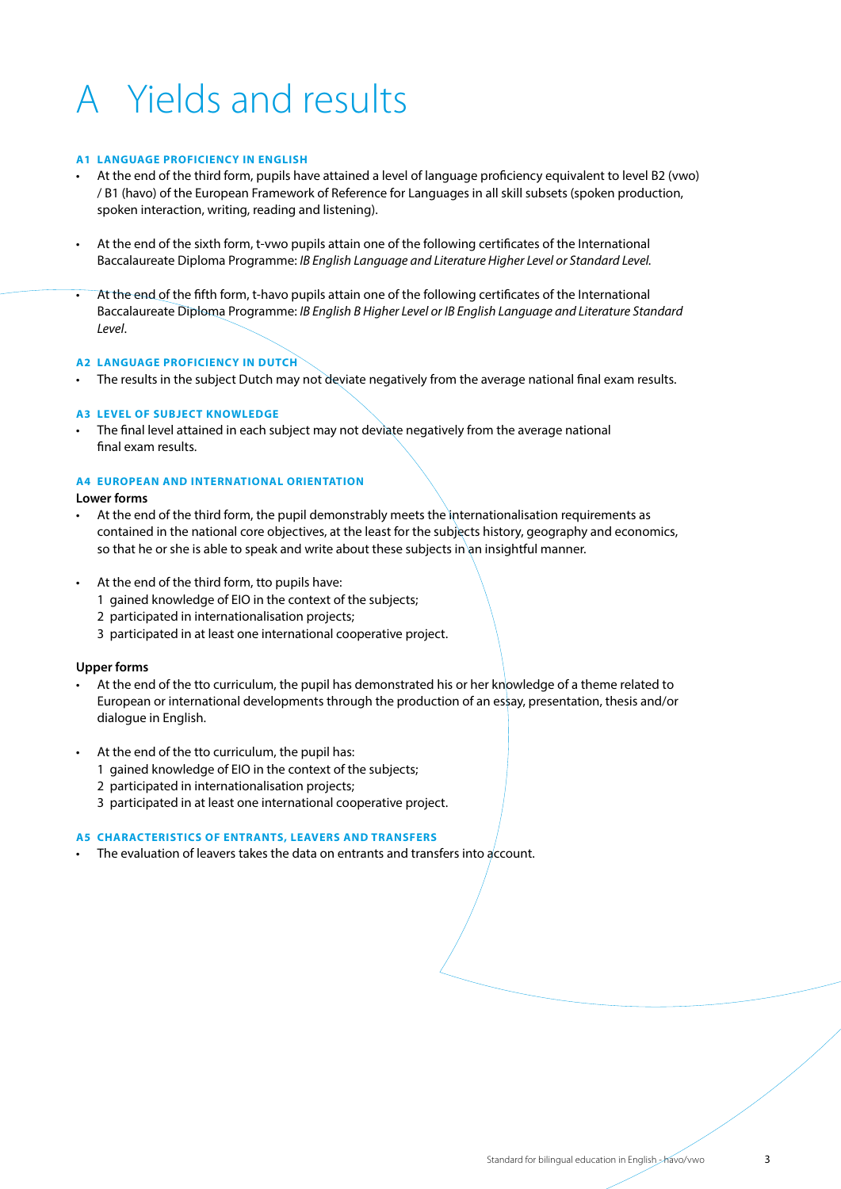# A Yields and results

#### **A1 LANGUAGE PROFICIENCY IN ENGLISH**

- At the end of the third form, pupils have attained a level of language proficiency equivalent to level B2 (vwo) / B1 (havo) of the European Framework of Reference for Languages in all skill subsets (spoken production, spoken interaction, writing, reading and listening).
- At the end of the sixth form, t-vwo pupils attain one of the following certificates of the International Baccalaureate Diploma Programme: *IB English Language and Literature Higher Level or Standard Level.*
- At the end of the fifth form, t-havo pupils attain one of the following certificates of the International Baccalaureate Diploma Programme: *IB English B Higher Level or IB English Language and Literature Standard Level*.

#### **A2 LANGUAGE PROFICIENCY IN DUTCH**

• The results in the subject Dutch may not deviate negatively from the average national final exam results.

#### **A3 LEVEL OF SUBJECT KNOWLEDGE**

• The final level attained in each subject may not deviate negatively from the average national final exam results.

#### **A4 EUROPEAN AND INTERNATIONAL ORIENTATION**

#### **Lower forms**

- At the end of the third form, the pupil demonstrably meets the internationalisation requirements as contained in the national core objectives, at the least for the subjects history, geography and economics, so that he or she is able to speak and write about these subjects in an insightful manner.
- At the end of the third form, tto pupils have:
	- 1 gained knowledge of EIO in the context of the subjects;
	- 2 participated in internationalisation projects;
	- 3 participated in at least one international cooperative project.

#### **Upper forms**

- At the end of the tto curriculum, the pupil has demonstrated his or her knowledge of a theme related to European or international developments through the production of an essay, presentation, thesis and/or dialogue in English.
- At the end of the tto curriculum, the pupil has:
	- 1 gained knowledge of EIO in the context of the subjects;
	- 2 participated in internationalisation projects;
	- 3 participated in at least one international cooperative project.

#### **A5 CHARACTERISTICS OF ENTRANTS, LEAVERS AND TRANSFERS**

The evaluation of leavers takes the data on entrants and transfers into account.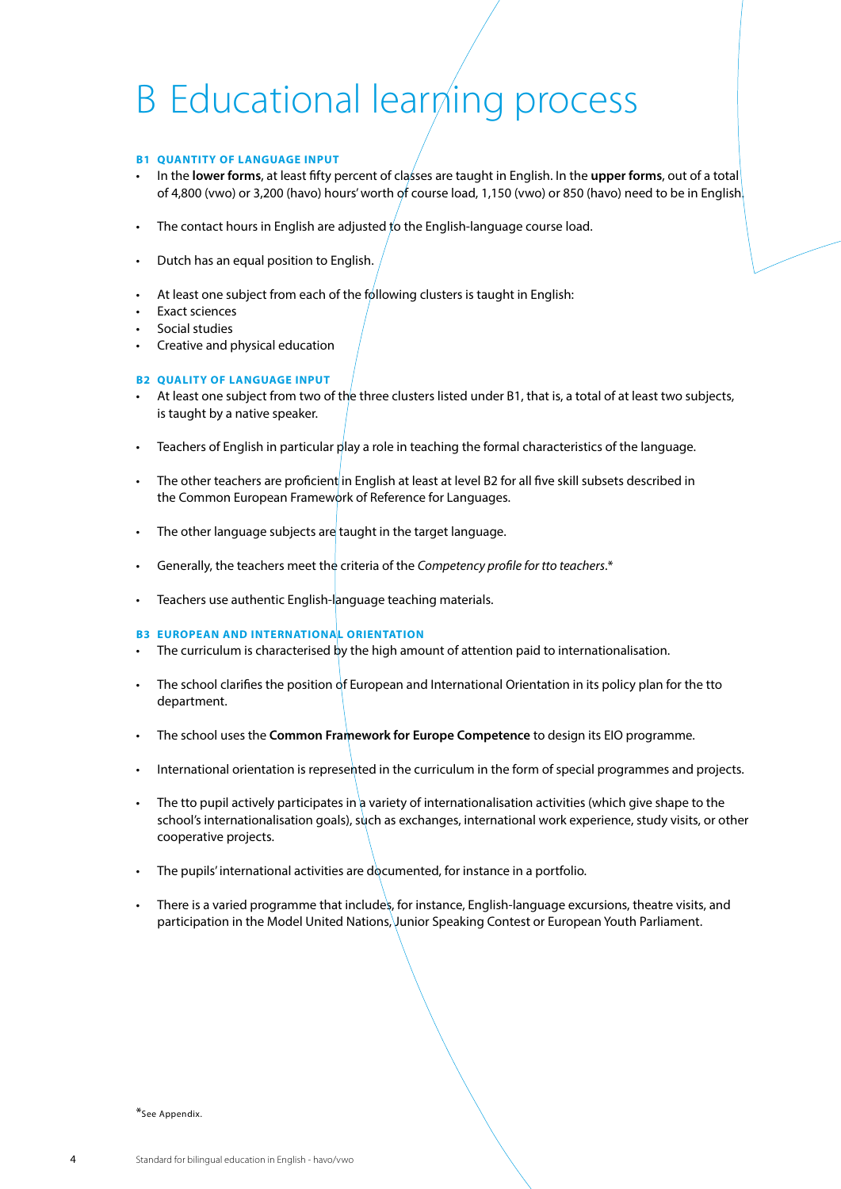## B Educational learning process

#### **B1 QUANTITY OF LANGUAGE INPUT**

- In the **lower forms**, at least fifty percent of classes are taught in English. In the **upper forms**, out of a total of 4,800 (vwo) or 3,200 (havo) hours' worth of course load, 1,150 (vwo) or 850 (havo) need to be in English.
- The contact hours in English are adjusted to the English-language course load.
- Dutch has an equal position to English.
- At least one subject from each of the following clusters is taught in English:
- Exact sciences
- Social studies
- Creative and physical education

#### **B2 QUALITY OF LANGUAGE INPUT**

- At least one subject from two of the three clusters listed under B1, that is, a total of at least two subjects, is taught by a native speaker.
- Teachers of English in particular play a role in teaching the formal characteristics of the language.
- The other teachers are proficient in English at least at level B2 for all five skill subsets described in the Common European Framework of Reference for Languages.
- The other language subjects are taught in the target language.
- Generally, the teachers meet the criteria of the *Competency profile for tto teachers*.\*
- Teachers use authentic English-language teaching materials.

#### **B3 EUROPEAN AND INTERNATIONAL ORIENTATION**

- The curriculum is characterised by the high amount of attention paid to internationalisation.
- The school clarifies the position of European and International Orientation in its policy plan for the tto department.
- The school uses the **Common Framework for Europe Competence** to design its EIO programme.
- International orientation is represented in the curriculum in the form of special programmes and projects.
- The tto pupil actively participates in a variety of internationalisation activities (which give shape to the school's internationalisation goals), such as exchanges, international work experience, study visits, or other cooperative projects.
- The pupils' international activities are documented, for instance in a portfolio.
- There is a varied programme that includes, for instance, English-language excursions, theatre visits, and participation in the Model United Nations, Junior Speaking Contest or European Youth Parliament.

#### \*See Appendix.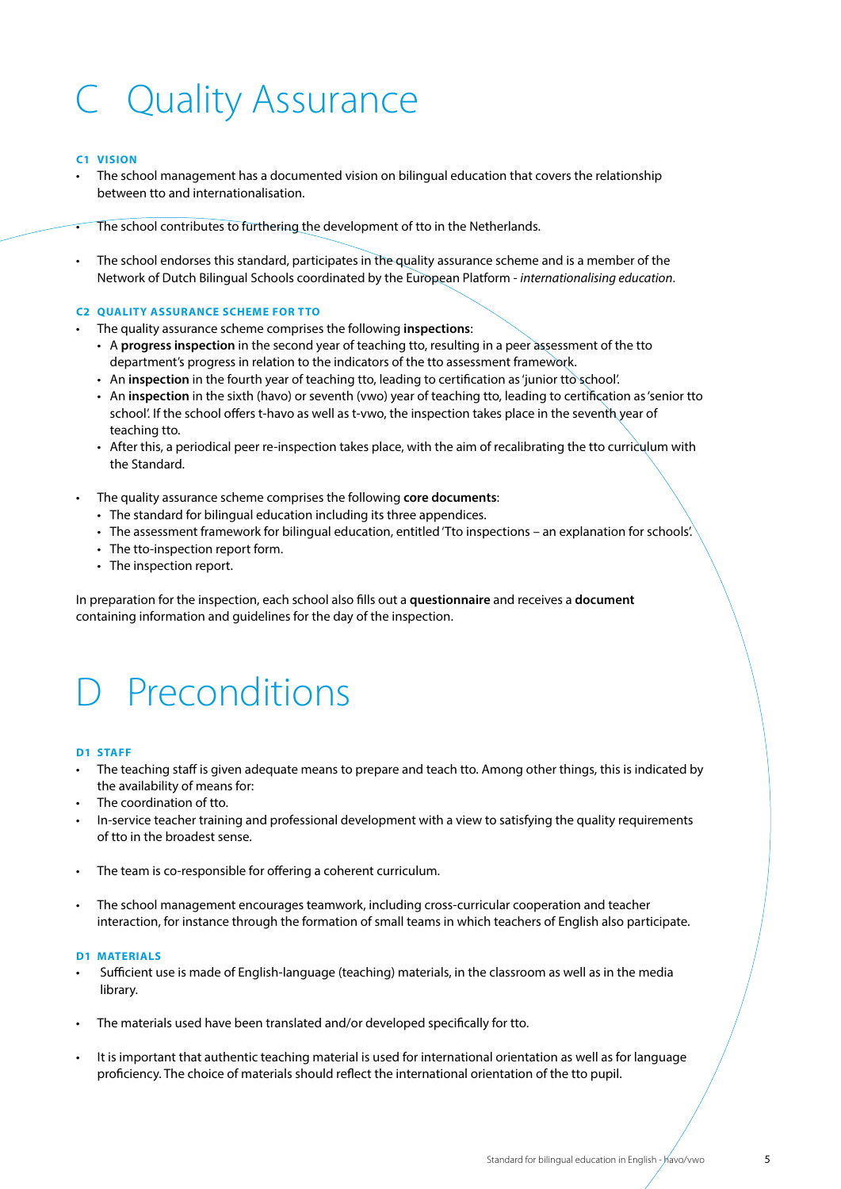# C Quality Assurance

#### **C1 VISION**

The school management has a documented vision on bilingual education that covers the relationship between tto and internationalisation.

The school contributes to furthering the development of tto in the Netherlands.

• The school endorses this standard, participates in the quality assurance scheme and is a member of the Network of Dutch Bilingual Schools coordinated by the European Platform - *internationalising education*.

#### **C2 QUALITY ASSURANCE SCHEME FOR TTO**

- The quality assurance scheme comprises the following **inspections**:
	- A **progress inspection** in the second year of teaching tto, resulting in a peer assessment of the tto department's progress in relation to the indicators of the tto assessment framework.
	- An **inspection** in the fourth year of teaching tto, leading to certification as 'junior tto school'.
	- An **inspection** in the sixth (havo) or seventh (vwo) year of teaching tto, leading to certification as 'senior tto school'. If the school offers t-havo as well as t-vwo, the inspection takes place in the seventh year of teaching tto.
	- After this, a periodical peer re-inspection takes place, with the aim of recalibrating the tto curriculum with the Standard.

#### • The quality assurance scheme comprises the following **core documents**:

- The standard for bilingual education including its three appendices.
- The assessment framework for bilingual education, entitled 'Tto inspections an explanation for schools'.
- The tto-inspection report form.
- The inspection report.

In preparation for the inspection, each school also fills out a **questionnaire** and receives a **document** containing information and guidelines for the day of the inspection.

## D Preconditions

#### **D1 STAFF**

- The teaching staff is given adequate means to prepare and teach tto. Among other things, this is indicated by the availability of means for:
- The coordination of tto.
- In-service teacher training and professional development with a view to satisfying the quality requirements of tto in the broadest sense.
- The team is co-responsible for offering a coherent curriculum.
- The school management encourages teamwork, including cross-curricular cooperation and teacher interaction, for instance through the formation of small teams in which teachers of English also participate.

#### **D1 MATERIALS**

- Sufficient use is made of English-language (teaching) materials, in the classroom as well as in the media library.
- The materials used have been translated and/or developed specifically for tto.
- It is important that authentic teaching material is used for international orientation as well as for language proficiency. The choice of materials should reflect the international orientation of the tto pupil.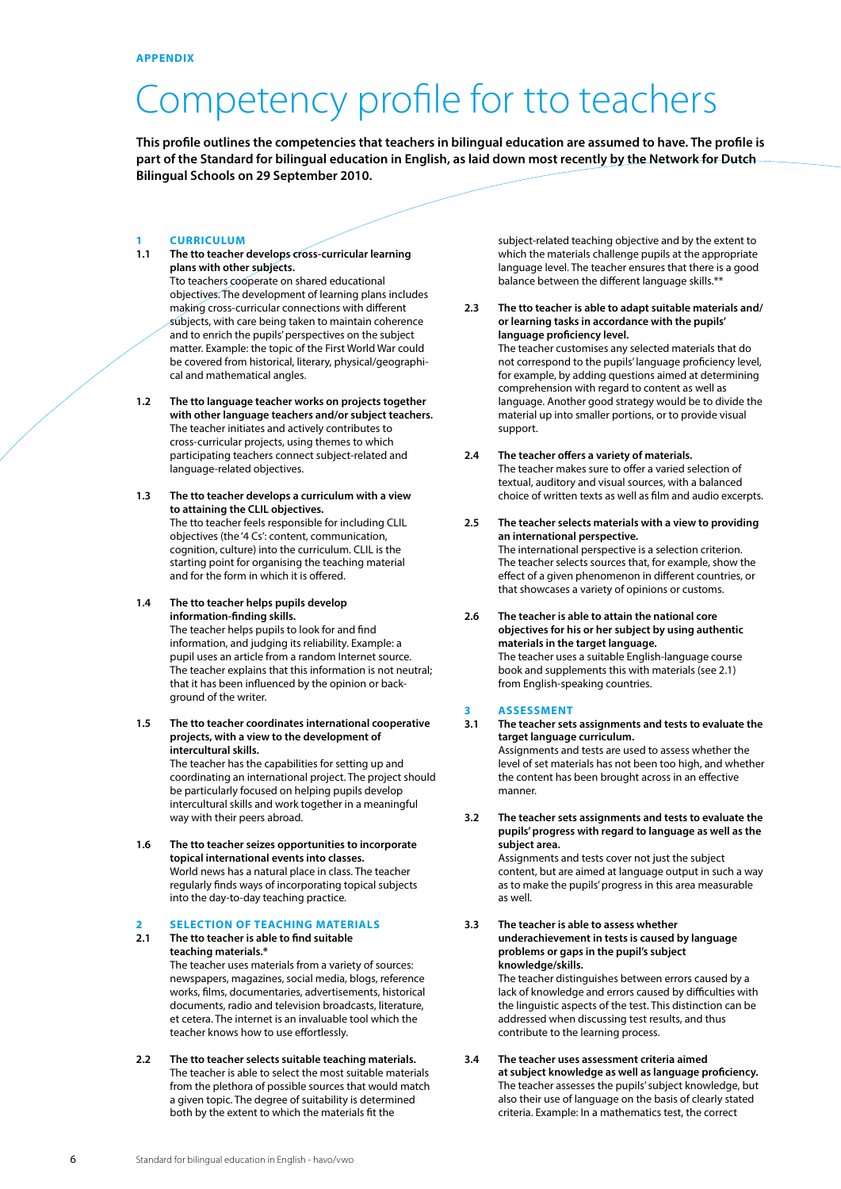## Competency profile for tto teachers

**This profile outlines the competencies that teachers in bilingual education are assumed to have. The profile is part of the Standard for bilingual education in English, as laid down most recently by the Network for Dutch Bilingual Schools on 29 September 2010.**

### **1 CURRICULUM**<br>**1.1** The tto teacher

- The tto teacher develops cross-curricular learning **plans with other subjects.** Tto teachers cooperate on shared educational objectives. The development of learning plans includes making cross-curricular connections with different subjects, with care being taken to maintain coherence and to enrich the pupils' perspectives on the subject matter. Example: the topic of the First World War could be covered from historical, literary, physical/geographical and mathematical angles.
- **1.2 The tto language teacher works on projects together with other language teachers and/or subject teachers.** The teacher initiates and actively contributes to cross-curricular projects, using themes to which participating teachers connect subject-related and language-related objectives.
- **1.3 The tto teacher develops a curriculum with a view to attaining the CLIL objectives.** The tto teacher feels responsible for including CLIL objectives (the '4 Cs': content, communication, cognition, culture) into the curriculum. CLIL is the starting point for organising the teaching material and for the form in which it is offered.
- **1.4 The tto teacher helps pupils develop information-finding skills.**

 The teacher helps pupils to look for and find information, and judging its reliability. Example: a pupil uses an article from a random Internet source. The teacher explains that this information is not neutral; that it has been influenced by the opinion or background of the writer.

**1.5 The tto teacher coordinates international cooperative projects, with a view to the development of intercultural skills.** 

The teacher has the capabilities for setting up and coordinating an international project. The project should be particularly focused on helping pupils develop intercultural skills and work together in a meaningful way with their peers abroad.

**1.6 The tto teacher seizes opportunities to incorporate topical international events into classes.**  World news has a natural place in class. The teacher regularly finds ways of incorporating topical subjects into the day-to-day teaching practice.

#### **2 SELECTION OF TEACHING MATERIALS**

teacher knows how to use effortlessly.

- **2.1 The tto teacher is able to find suitable teaching materials.\*** The teacher uses materials from a variety of sources: newspapers, magazines, social media, blogs, reference works, films, documentaries, advertisements, historical documents, radio and television broadcasts, literature, et cetera. The internet is an invaluable tool which the
- **2.2 The tto teacher selects suitable teaching materials.** The teacher is able to select the most suitable materials from the plethora of possible sources that would match a given topic. The degree of suitability is determined both by the extent to which the materials fit the

subject-related teaching objective and by the extent to which the materials challenge pupils at the appropriate language level. The teacher ensures that there is a good balance between the different language skills.\*\*

#### **2.3 The tto teacher is able to adapt suitable materials and/ or learning tasks in accordance with the pupils' language proficiency level.**

The teacher customises any selected materials that do not correspond to the pupils' language proficiency level, for example, by adding questions aimed at determining comprehension with regard to content as well as language. Another good strategy would be to divide the material up into smaller portions, or to provide visual support.

#### **2.4 The teacher offers a variety of materials.**

The teacher makes sure to offer a varied selection of textual, auditory and visual sources, with a balanced choice of written texts as well as film and audio excerpts.

- **2.5 The teacher selects materials with a view to providing an international perspective.** The international perspective is a selection criterion. The teacher selects sources that, for example, show the effect of a given phenomenon in different countries, or that showcases a variety of opinions or customs.
- **2.6 The teacher is able to attain the national core objectives for his or her subject by using authentic materials in the target language.** The teacher uses a suitable English-language course book and supplements this with materials (see 2.1) from English-speaking countries.

### **3** ASSESSMENT<br>3.1 The teacher sets

- **3.1 The teacher sets assignments and tests to evaluate the target language curriculum.** Assignments and tests are used to assess whether the level of set materials has not been too high, and whether the content has been brought across in an effective manner.
- **3.2 The teacher sets assignments and tests to evaluate the pupils' progress with regard to language as well as the subject area.**

Assignments and tests cover not just the subject content, but are aimed at language output in such a way as to make the pupils' progress in this area measurable as well.

**3.3 The teacher is able to assess whether underachievement in tests is caused by language problems or gaps in the pupil's subject knowledge/skills.** 

 The teacher distinguishes between errors caused by a lack of knowledge and errors caused by difficulties with the linguistic aspects of the test. This distinction can be addressed when discussing test results, and thus contribute to the learning process.

**3.4 The teacher uses assessment criteria aimed at subject knowledge as well as language proficiency.** The teacher assesses the pupils' subject knowledge, but also their use of language on the basis of clearly stated criteria. Example: In a mathematics test, the correct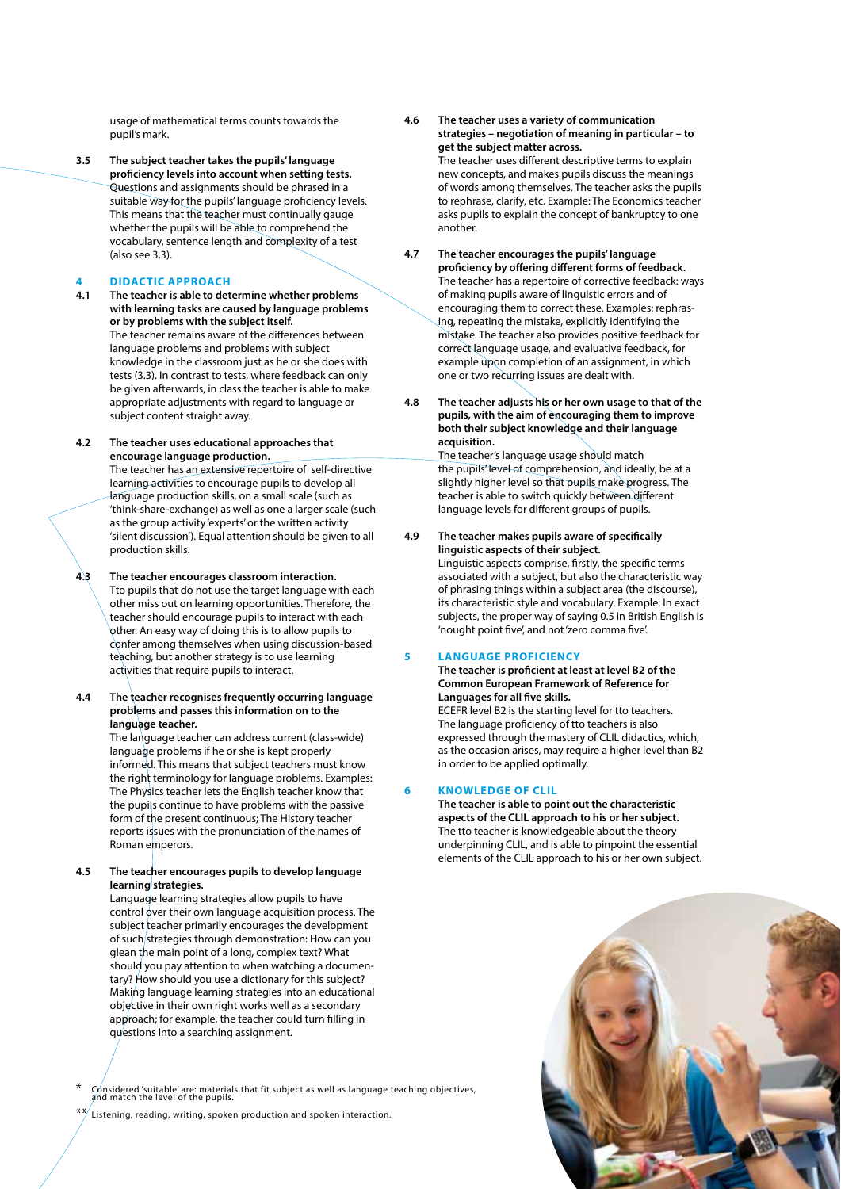usage of mathematical terms counts towards the pupil's mark.

**3.5 The subject teacher takes the pupils' language proficiency levels into account when setting tests.** Questions and assignments should be phrased in a suitable way for the pupils' language proficiency levels. This means that the teacher must continually gauge whether the pupils will be able to comprehend the vocabulary, sentence length and complexity of a test (also see 3.3).

**4 DIDACTIC APPROACH**

- **4.1 The teacher is able to determine whether problems with learning tasks are caused by language problems or by problems with the subject itself.** The teacher remains aware of the differences between language problems and problems with subject knowledge in the classroom just as he or she does with tests (3.3). In contrast to tests, where feedback can only be given afterwards, in class the teacher is able to make appropriate adjustments with regard to language or subject content straight away.
- **4.2 The teacher uses educational approaches that encourage language production.** The teacher has an extensive repertoire of self-directive learning activities to encourage pupils to develop all language production skills, on a small scale (such as 'think-share-exchange) as well as one a larger scale (such as the group activity 'experts' or the written activity 'silent discussion'). Equal attention should be given to all production skills.
- **4.3 The teacher encourages classroom interaction.**

 Tto pupils that do not use the target language with each other miss out on learning opportunities. Therefore, the teacher should encourage pupils to interact with each other. An easy way of doing this is to allow pupils to confer among themselves when using discussion-based teaching, but another strategy is to use learning activities that require pupils to interact.

**4.4 The teacher recognises frequently occurring language problems and passes this information on to the language teacher.**

The language teacher can address current (class-wide) language problems if he or she is kept properly informed. This means that subject teachers must know the right terminology for language problems. Examples: The Physics teacher lets the English teacher know that the pupils continue to have problems with the passive form of the present continuous; The History teacher reports issues with the pronunciation of the names of Roman emperors.

**4.5 The teacher encourages pupils to develop language learning strategies.**

> Language learning strategies allow pupils to have control over their own language acquisition process. The subject teacher primarily encourages the development of such strategies through demonstration: How can you glean the main point of a long, complex text? What should you pay attention to when watching a documentary? How should you use a dictionary for this subject? Making language learning strategies into an educational objective in their own right works well as a secondary approach; for example, the teacher could turn filling in questions into a searching assignment.

\* Considered 'suitable' are: materials that fit subject as well as language teaching objectives, and match the level of the pupils.

Listening, reading, writing, spoken production and spoken interaction.

**4.6 The teacher uses a variety of communication strategies – negotiation of meaning in particular – to get the subject matter across.**

 The teacher uses different descriptive terms to explain new concepts, and makes pupils discuss the meanings of words among themselves. The teacher asks the pupils to rephrase, clarify, etc. Example: The Economics teacher asks pupils to explain the concept of bankruptcy to one another.

#### **4.7 The teacher encourages the pupils' language proficiency by offering different forms of feedback.**

 The teacher has a repertoire of corrective feedback: ways of making pupils aware of linguistic errors and of encouraging them to correct these. Examples: rephrasing, repeating the mistake, explicitly identifying the mistake. The teacher also provides positive feedback for correct language usage, and evaluative feedback, for example upon completion of an assignment, in which one or two recurring issues are dealt with.

**4.8 The teacher adjusts his or her own usage to that of the pupils, with the aim of encouraging them to improve both their subject knowledge and their language acquisition.**

 The teacher's language usage should match the pupils' level of comprehension, and ideally, be at a slightly higher level so that pupils make progress. The teacher is able to switch quickly between different language levels for different groups of pupils.

**4.9 The teacher makes pupils aware of specifically linguistic aspects of their subject.**

Linguistic aspects comprise, firstly, the specific terms associated with a subject, but also the characteristic way of phrasing things within a subject area (the discourse), its characteristic style and vocabulary. Example: In exact subjects, the proper way of saying 0.5 in British English is 'nought point five', and not 'zero comma five'.

#### **5 LANGUAGE PROFICIENCY**

 **The teacher is proficient at least at level B2 of the Common European Framework of Reference for Languages for all five skills.** 

 ECEFR level B2 is the starting level for tto teachers. The language proficiency of tto teachers is also expressed through the mastery of CLIL didactics, which, as the occasion arises, may require a higher level than B2 in order to be applied optimally.

#### **6 KNOWLEDGE OF CLIL**

 **The teacher is able to point out the characteristic aspects of the CLIL approach to his or her subject.** The tto teacher is knowledgeable about the theory underpinning CLIL, and is able to pinpoint the essential elements of the CLIL approach to his or her own subject.